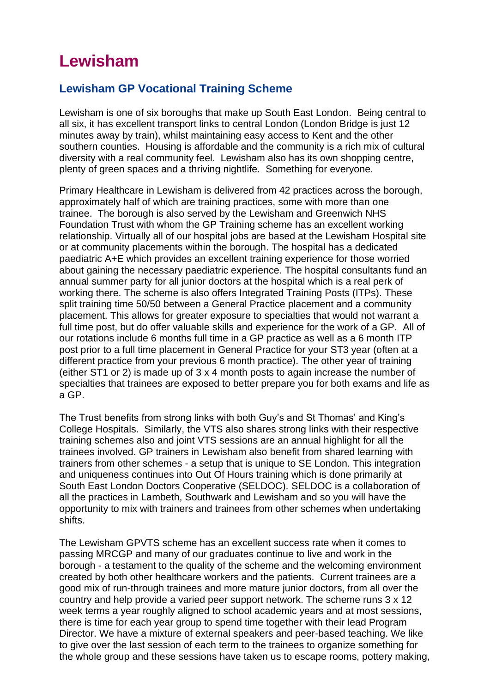# **Lewisham**

## **Lewisham GP Vocational Training Scheme**

Lewisham is one of six boroughs that make up South East London. Being central to all six, it has excellent transport links to central London (London Bridge is just 12 minutes away by train), whilst maintaining easy access to Kent and the other southern counties. Housing is affordable and the community is a rich mix of cultural diversity with a real community feel. Lewisham also has its own shopping centre, plenty of green spaces and a thriving nightlife. Something for everyone.

Primary Healthcare in Lewisham is delivered from 42 practices across the borough, approximately half of which are training practices, some with more than one trainee. The borough is also served by the Lewisham and Greenwich NHS Foundation Trust with whom the GP Training scheme has an excellent working relationship. Virtually all of our hospital jobs are based at the Lewisham Hospital site or at community placements within the borough. The hospital has a dedicated paediatric A+E which provides an excellent training experience for those worried about gaining the necessary paediatric experience. The hospital consultants fund an annual summer party for all junior doctors at the hospital which is a real perk of working there. The scheme is also offers Integrated Training Posts (ITPs). These split training time 50/50 between a General Practice placement and a community placement. This allows for greater exposure to specialties that would not warrant a full time post, but do offer valuable skills and experience for the work of a GP. All of our rotations include 6 months full time in a GP practice as well as a 6 month ITP post prior to a full time placement in General Practice for your ST3 year (often at a different practice from your previous 6 month practice). The other year of training (either ST1 or 2) is made up of 3 x 4 month posts to again increase the number of specialties that trainees are exposed to better prepare you for both exams and life as a GP.

The Trust benefits from strong links with both Guy's and St Thomas' and King's College Hospitals. Similarly, the VTS also shares strong links with their respective training schemes also and joint VTS sessions are an annual highlight for all the trainees involved. GP trainers in Lewisham also benefit from shared learning with trainers from other schemes - a setup that is unique to SE London. This integration and uniqueness continues into Out Of Hours training which is done primarily at South East London Doctors Cooperative (SELDOC). SELDOC is a collaboration of all the practices in Lambeth, Southwark and Lewisham and so you will have the opportunity to mix with trainers and trainees from other schemes when undertaking shifts.

The Lewisham GPVTS scheme has an excellent success rate when it comes to passing MRCGP and many of our graduates continue to live and work in the borough - a testament to the quality of the scheme and the welcoming environment created by both other healthcare workers and the patients. Current trainees are a good mix of run-through trainees and more mature junior doctors, from all over the country and help provide a varied peer support network. The scheme runs 3 x 12 week terms a year roughly aligned to school academic years and at most sessions, there is time for each year group to spend time together with their lead Program Director. We have a mixture of external speakers and peer-based teaching. We like to give over the last session of each term to the trainees to organize something for the whole group and these sessions have taken us to escape rooms, pottery making,